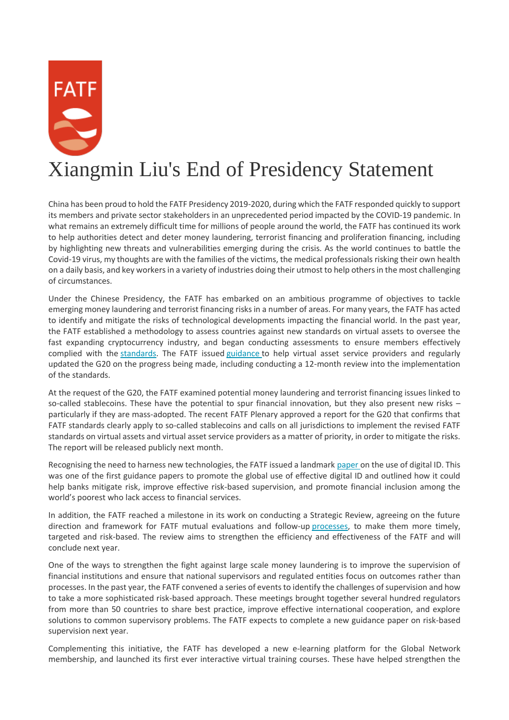## Xiangmin Liu's End of Presidency Statement

China has been proud to hold the FATF Presidency 2019-2020, during which the FATF responded quickly to support its members and private sector stakeholders in an unprecedented period impacted by the COVID-19 pandemic. In what remains an extremely difficult time for millions of people around the world, the FATF has continued its work to help authorities detect and deter money laundering, terrorist financing and proliferation financing, including by highlighting new threats and vulnerabilities emerging during the crisis. As the world continues to battle the Covid-19 virus, my thoughts are with the families of the victims, the medical professionals risking their own health on a daily basis, and key workers in a variety of industries doing their utmost to help others in the most challenging of circumstances.

Under the Chinese Presidency, the FATF has embarked on an ambitious programme of objectives to tackle emerging money laundering and terrorist financing risks in a number of areas. For many years, the FATF has acted to identify and mitigate the risks of technological developments impacting the financial world. In the past year, the FATF established a methodology to assess countries against new standards on virtual assets to oversee the fast expanding cryptocurrency industry, and began conducting assessments to ensure members effectively complied with the [standards.](http://www.fatf-gafi.org/publications/fatfrecommendations/documents/fatf-recommendations.html) The FATF issued [guidance](http://www.fatf-gafi.org/publications/fatfrecommendations/documents/guidance-rba-virtual-assets.html) to help virtual asset service providers and regularly updated the G20 on the progress being made, including conducting a 12-month review into the implementation of the standards.

At the request of the G20, the FATF examined potential money laundering and terrorist financing issues linked to so-called stablecoins. These have the potential to spur financial innovation, but they also present new risks – particularly if they are mass-adopted. The recent FATF Plenary approved a report for the G20 that confirms that FATF standards clearly apply to so-called stablecoins and calls on all jurisdictions to implement the revised FATF standards on virtual assets and virtual asset service providers as a matter of priority, in order to mitigate the risks. The report will be released publicly next month.

Recognising the need to harness new technologies, the FATF issued a landmark [paper](http://www.fatf-gafi.org/publications/fatfrecommendations/documents/digital-identity-guidance.html) on the use of digital ID. This was one of the first guidance papers to promote the global use of effective digital ID and outlined how it could help banks mitigate risk, improve effective risk-based supervision, and promote financial inclusion among the world's poorest who lack access to financial services.

In addition, the FATF reached a milestone in its work on conducting a Strategic Review, agreeing on the future direction and framework for FATF mutual evaluations and follow-up [processes,](http://www.fatf-gafi.org/publications/mutualevaluations/documents/more-about-mutual-evaluations.html) to make them more timely, targeted and risk-based. The review aims to strengthen the efficiency and effectiveness of the FATF and will conclude next year.

One of the ways to strengthen the fight against large scale money laundering is to improve the supervision of financial institutions and ensure that national supervisors and regulated entities focus on outcomes rather than processes. In the past year, the FATF convened a series of events to identify the challenges of supervision and how to take a more sophisticated risk-based approach. These meetings brought together several hundred regulators from more than 50 countries to share best practice, improve effective international cooperation, and explore solutions to common supervisory problems. The FATF expects to complete a new guidance paper on risk-based supervision next year.

Complementing this initiative, the FATF has developed a new e-learning platform for the Global Network membership, and launched its first ever interactive virtual training courses. These have helped strengthen the